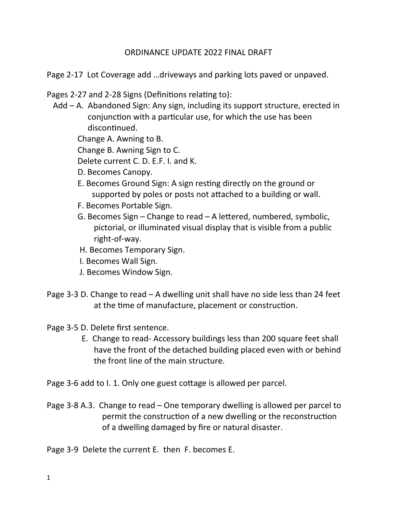## ORDINANCE UPDATE 2022 FINAL DRAFT

Page 2-17 Lot Coverage add …driveways and parking lots paved or unpaved.

Pages 2-27 and 2-28 Signs (Definitions relating to):

 Add – A. Abandoned Sign: Any sign, including its support structure, erected in conjunction with a particular use, for which the use has been discontinued.

Change A. Awning to B.

Change B. Awning Sign to C.

Delete current C. D. E.F. I. and K.

- D. Becomes Canopy.
- E. Becomes Ground Sign: A sign restng directly on the ground or supported by poles or posts not atached to a building or wall.
- F. Becomes Portable Sign.
- G. Becomes Sign Change to read A letered, numbered, symbolic, pictorial, or illuminated visual display that is visible from a public right-of-way.
- H. Becomes Temporary Sign.
- I. Becomes Wall Sign.
- J. Becomes Window Sign.
- Page 3-3 D. Change to read A dwelling unit shall have no side less than 24 feet at the time of manufacture, placement or construction.
- Page 3-5 D. Delete first sentence.
	- E. Change to read- Accessory buildings less than 200 square feet shall have the front of the detached building placed even with or behind the front line of the main structure.

Page 3-6 add to I. 1. Only one guest cottage is allowed per parcel.

Page 3-8 A.3. Change to read – One temporary dwelling is allowed per parcel to permit the construction of a new dwelling or the reconstruction of a dwelling damaged by fre or natural disaster.

Page 3-9 Delete the current E. then F. becomes E.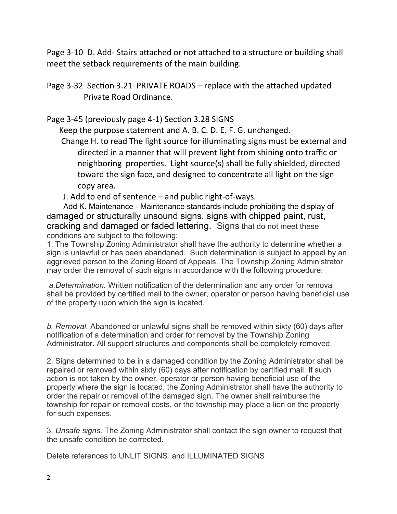Page 3-10 D. Add-Stairs attached or not attached to a structure or building shall meet the setback requirements of the main building.

Page 3-32 Section 3.21 PRIVATE ROADS – replace with the attached updated Private Road Ordinance.

Page 3-45 (previously page 4-1) Section 3.28 SIGNS

Keep the purpose statement and A. B. C. D. E. F. G. unchanged.

Change H. to read The light source for illuminating signs must be external and directed in a manner that will prevent light from shining onto traffic or neighboring properties. Light source(s) shall be fully shielded, directed toward the sign face, and designed to concentrate all light on the sign copy area.

J. Add to end of sentence – and public right-of-ways.

 Add K. Maintenance - Maintenance standards include prohibiting the display of damaged or structurally unsound signs, signs with chipped paint, rust, cracking and damaged or faded lettering. Signs that do not meet these conditions are subject to the following:

1. The Township Zoning Administrator shall have the authority to determine whether a sign is unlawful or has been abandoned. Such determination is subject to appeal by an aggrieved person to the Zoning Board of Appeals. The Township Zoning Administrator may order the removal of such signs in accordance with the following procedure:

*a.Determination.* Written notification of the determination and any order for removal shall be provided by certified mail to the owner, operator or person having beneficial use of the property upon which the sign is located.

*b. Removal.* Abandoned or unlawful signs shall be removed within sixty (60) days after notification of a determination and order for removal by the Township Zoning Administrator. All support structures and components shall be completely removed.

2. Signs determined to be in a damaged condition by the Zoning Administrator shall be repaired or removed within sixty (60) days after notification by certified mail. If such action is not taken by the owner, operator or person having beneficial use of the property where the sign is located, the Zoning Administrator shall have the authority to order the repair or removal of the damaged sign. The owner shall reimburse the township for repair or removal costs, or the township may place a lien on the property for such expenses.

3*. Unsafe signs.* The Zoning Administrator shall contact the sign owner to request that the unsafe condition be corrected.

Delete references to UNLIT SIGNS and ILLUMINATED SIGNS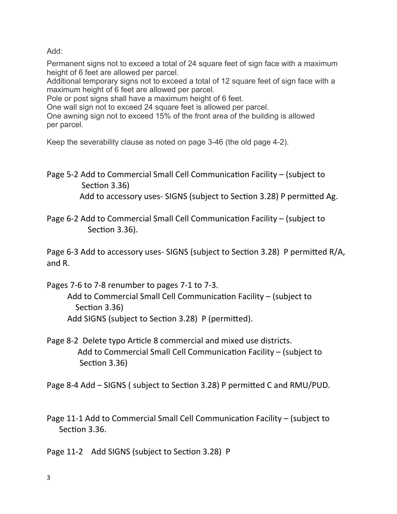Add:

Permanent signs not to exceed a total of 24 square feet of sign face with a maximum height of 6 feet are allowed per parcel.

Additional temporary signs not to exceed a total of 12 square feet of sign face with a maximum height of 6 feet are allowed per parcel.

Pole or post signs shall have a maximum height of 6 feet.

One wall sign not to exceed 24 square feet is allowed per parcel.

One awning sign not to exceed 15% of the front area of the building is allowed per parcel.

Keep the severability clause as noted on page 3-46 (the old page 4-2).

Page 5-2 Add to Commercial Small Cell Communication Facility – (subject to Section 3.36) Add to accessory uses-SIGNS (subject to Section 3.28) P permitted Ag.

Page 6-2 Add to Commercial Small Cell Communication Facility – (subject to Section 3.36).

Page 6-3 Add to accessory uses- SIGNS (subject to Secton 3.28) P permited R/A, and R.

Pages 7-6 to 7-8 renumber to pages 7-1 to 7-3.

Add to Commercial Small Cell Communication Facility – (subject to Section 3.36) Add SIGNS (subject to Section 3.28) P (permitted).

Page 8-2 Delete typo Article 8 commercial and mixed use districts. Add to Commercial Small Cell Communication Facility – (subject to Section 3.36)

Page 8-4 Add – SIGNS ( subject to Secton 3.28) P permited C and RMU/PUD.

Page 11-1 Add to Commercial Small Cell Communication Facility – (subject to Section 3.36.

Page 11-2 Add SIGNS (subject to Section 3.28) P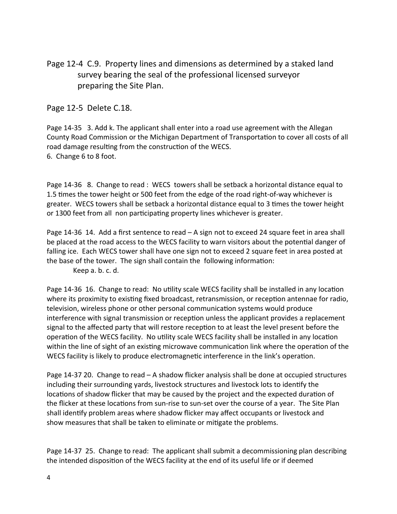Page 12-4 C.9. Property lines and dimensions as determined by a staked land survey bearing the seal of the professional licensed surveyor preparing the Site Plan.

Page 12-5 Delete C.18.

Page 14-35 3. Add k. The applicant shall enter into a road use agreement with the Allegan County Road Commission or the Michigan Department of Transportation to cover all costs of all road damage resulting from the construction of the WECS. 6. Change 6 to 8 foot.

Page 14-36 8. Change to read : WECS towers shall be setback a horizontal distance equal to 1.5 tmes the tower height or 500 feet from the edge of the road right-of-way whichever is greater. WECS towers shall be setback a horizontal distance equal to 3 tmes the tower height or 1300 feet from all non participating property lines whichever is greater.

Page 14-36 14. Add a frst sentence to read – A sign not to exceed 24 square feet in area shall be placed at the road access to the WECS facility to warn visitors about the potental danger of falling ice. Each WECS tower shall have one sign not to exceed 2 square feet in area posted at the base of the tower. The sign shall contain the following informaton:

Keep a. b. c. d.

Page 14-36 16. Change to read: No utility scale WECS facility shall be installed in any location where its proximity to existing fixed broadcast, retransmission, or reception antennae for radio, television, wireless phone or other personal communicaton systems would produce interference with signal transmission or recepton unless the applicant provides a replacement signal to the afected party that will restore recepton to at least the level present before the operation of the WECS facility. No utility scale WECS facility shall be installed in any location within the line of sight of an existing microwave communication link where the operation of the WECS facility is likely to produce electromagnetic interference in the link's operation.

Page 14-37 20. Change to read – A shadow ficker analysis shall be done at occupied structures including their surrounding yards, livestock structures and livestock lots to identfy the locations of shadow flicker that may be caused by the project and the expected duration of the flicker at these locations from sun-rise to sun-set over the course of a year. The Site Plan shall identfy problem areas where shadow ficker may afect occupants or livestock and show measures that shall be taken to eliminate or mitgate the problems.

Page 14-37 25. Change to read: The applicant shall submit a decommissioning plan describing the intended dispositon of the WECS facility at the end of its useful life or if deemed